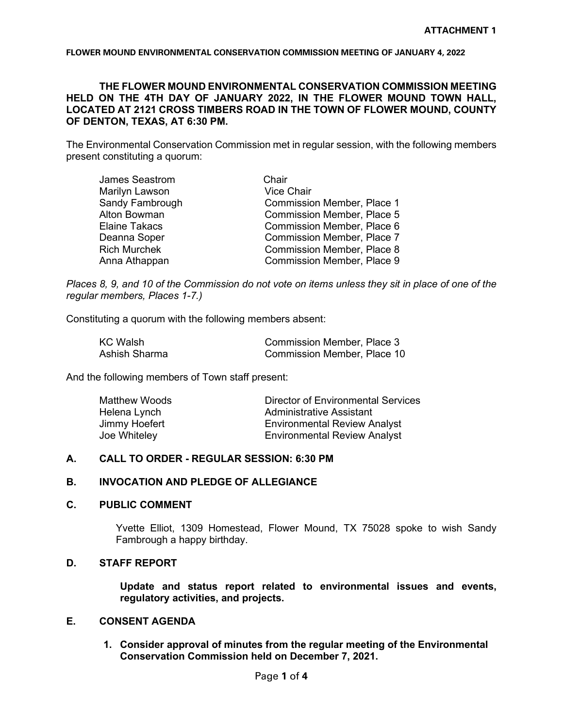## **THE FLOWER MOUND ENVIRONMENTAL CONSERVATION COMMISSION MEETING HELD ON THE 4TH DAY OF JANUARY 2022, IN THE FLOWER MOUND TOWN HALL, LOCATED AT 2121 CROSS TIMBERS ROAD IN THE TOWN OF FLOWER MOUND, COUNTY OF DENTON, TEXAS, AT 6:30 PM.**

The Environmental Conservation Commission met in regular session, with the following members present constituting a quorum:

| <b>James Seastrom</b> | Chair                             |
|-----------------------|-----------------------------------|
| Marilyn Lawson        | <b>Vice Chair</b>                 |
| Sandy Fambrough       | <b>Commission Member, Place 1</b> |
| Alton Bowman          | <b>Commission Member, Place 5</b> |
| <b>Elaine Takacs</b>  | Commission Member, Place 6        |
| Deanna Soper          | <b>Commission Member, Place 7</b> |
| <b>Rich Murchek</b>   | <b>Commission Member, Place 8</b> |
| Anna Athappan         | <b>Commission Member, Place 9</b> |
|                       |                                   |

*Places 8, 9, and 10 of the Commission do not vote on items unless they sit in place of one of the regular members, Places 1-7.)*

Constituting a quorum with the following members absent:

| <b>KC Walsh</b> | <b>Commission Member, Place 3</b> |
|-----------------|-----------------------------------|
| Ashish Sharma   | Commission Member, Place 10       |

And the following members of Town staff present:

| Matthew Woods | Director of Environmental Services  |
|---------------|-------------------------------------|
| Helena Lynch  | Administrative Assistant            |
| Jimmy Hoefert | <b>Environmental Review Analyst</b> |
| Joe Whiteley  | <b>Environmental Review Analyst</b> |

#### **A. CALL TO ORDER - REGULAR SESSION: 6:30 PM**

## **B. INVOCATION AND PLEDGE OF ALLEGIANCE**

# **C. PUBLIC COMMENT**

Yvette Elliot, 1309 Homestead, Flower Mound, TX 75028 spoke to wish Sandy Fambrough a happy birthday.

# **D. STAFF REPORT**

**Update and status report related to environmental issues and events, regulatory activities, and projects.**

## **E. CONSENT AGENDA**

**1. Consider approval of minutes from the regular meeting of the Environmental Conservation Commission held on December 7, 2021.**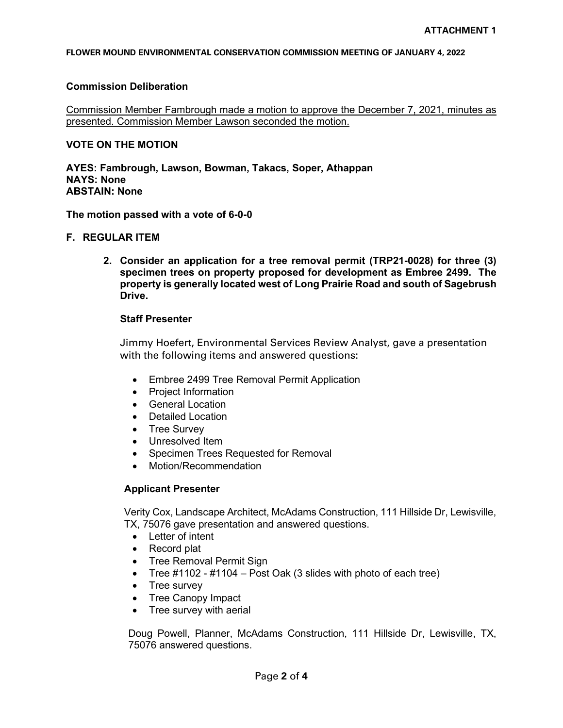### **Commission Deliberation**

Commission Member Fambrough made a motion to approve the December 7, 2021, minutes as presented. Commission Member Lawson seconded the motion.

### **VOTE ON THE MOTION**

**AYES: Fambrough, Lawson, Bowman, Takacs, Soper, Athappan NAYS: None ABSTAIN: None**

**The motion passed with a vote of 6-0-0**

## **F. REGULAR ITEM**

**2. Consider an application for a tree removal permit (TRP21-0028) for three (3) specimen trees on property proposed for development as Embree 2499. The property is generally located west of Long Prairie Road and south of Sagebrush Drive.**

#### **Staff Presenter**

Jimmy Hoefert, Environmental Services Review Analyst, gave a presentation with the following items and answered questions:

- Embree 2499 Tree Removal Permit Application
- Project Information
- General Location
- Detailed Location
- Tree Survey
- Unresolved Item
- Specimen Trees Requested for Removal
- Motion/Recommendation

## **Applicant Presenter**

Verity Cox, Landscape Architect, McAdams Construction, 111 Hillside Dr, Lewisville, TX, 75076 gave presentation and answered questions.

- Letter of intent
- Record plat
- Tree Removal Permit Sign
- Tree  $\#1102 \#1104 \text{Post Oak}$  (3 slides with photo of each tree)
- Tree survey
- Tree Canopy Impact
- Tree survey with aerial

Doug Powell, Planner, McAdams Construction, 111 Hillside Dr, Lewisville, TX, 75076 answered questions.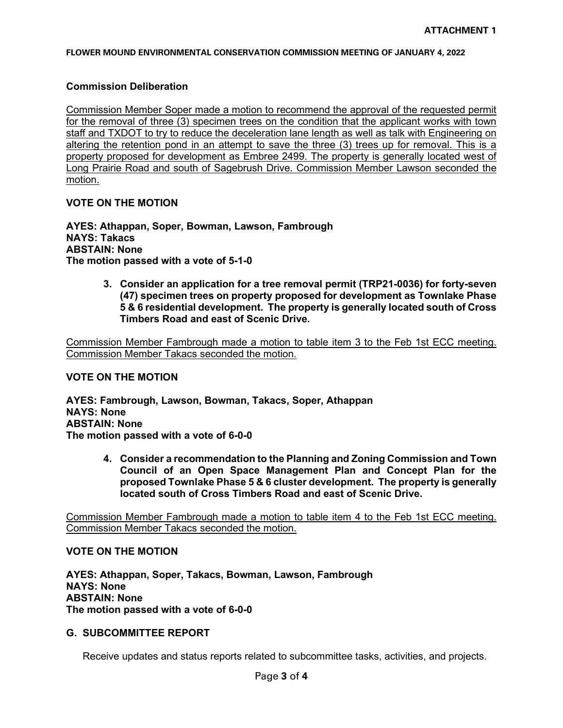### **Commission Deliberation**

Commission Member Soper made a motion to recommend the approval of the requested permit for the removal of three (3) specimen trees on the condition that the applicant works with town staff and TXDOT to try to reduce the deceleration lane length as well as talk with Engineering on altering the retention pond in an attempt to save the three (3) trees up for removal. This is a property proposed for development as Embree 2499. The property is generally located west of Long Prairie Road and south of Sagebrush Drive. Commission Member Lawson seconded the motion.

# **VOTE ON THE MOTION**

**AYES: Athappan, Soper, Bowman, Lawson, Fambrough NAYS: Takacs ABSTAIN: None The motion passed with a vote of 5-1-0**

> **3. Consider an application for a tree removal permit (TRP21-0036) for forty-seven (47) specimen trees on property proposed for development as Townlake Phase 5 & 6 residential development. The property is generally located south of Cross Timbers Road and east of Scenic Drive.**

Commission Member Fambrough made a motion to table item 3 to the Feb 1st ECC meeting. Commission Member Takacs seconded the motion.

#### **VOTE ON THE MOTION**

**AYES: Fambrough, Lawson, Bowman, Takacs, Soper, Athappan NAYS: None ABSTAIN: None The motion passed with a vote of 6-0-0**

> **4. Consider a recommendation to the Planning and Zoning Commission and Town Council of an Open Space Management Plan and Concept Plan for the proposed Townlake Phase 5 & 6 cluster development. The property is generally located south of Cross Timbers Road and east of Scenic Drive.**

Commission Member Fambrough made a motion to table item 4 to the Feb 1st ECC meeting. Commission Member Takacs seconded the motion.

# **VOTE ON THE MOTION**

**AYES: Athappan, Soper, Takacs, Bowman, Lawson, Fambrough NAYS: None ABSTAIN: None The motion passed with a vote of 6-0-0**

## **G. SUBCOMMITTEE REPORT**

Receive updates and status reports related to subcommittee tasks, activities, and projects.